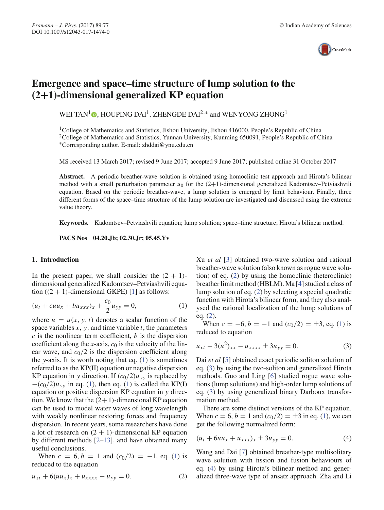

# **Emergence and space–time structure of lump solution to the (2+1)-dimensional generalized KP equation**

WEI TAN<sup>1</sup>  $\bullet$ , HOUPING DAI<sup>1</sup>, ZHENGDE DAI<sup>2,\*</sup> and WENYONG ZHONG<sup>1</sup>

<sup>1</sup>College of Mathematics and Statistics, Jishou University, Jishou 416000, People's Republic of China <sup>2</sup>College of Mathematics and Statistics, Yunnan University, Kunming 650091, People's Republic of China ∗Corresponding author. E-mail: zhddai@ynu.edu.cn

MS received 13 March 2017; revised 9 June 2017; accepted 9 June 2017; published online 31 October 2017

**Abstract.** A periodic breather-wave solution is obtained using homoclinic test approach and Hirota's bilinear method with a small perturbation parameter  $u_0$  for the  $(2+1)$ -dimensional generalized Kadomtsev–Petviashvili equation. Based on the periodic breather-wave, a lump solution is emerged by limit behaviour. Finally, three different forms of the space–time structure of the lump solution are investigated and discussed using the extreme value theory.

**Keywords.** Kadomtsev–Petviashvili equation; lump solution; space–time structure; Hirota's bilinear method.

**PACS Nos 04.20.Jb; 02.30.Jr; 05.45.Yv**

## **1. Introduction**

In the present paper, we shall consider the  $(2 + 1)$ dimensional generalized Kadomtsev–Petviashvili equation  $((2 + 1)$ -dimensional GKPE) [1] as follows:

$$
(u_t + cuu_x + bu_{xxx})_x + \frac{c_0}{2}u_{yy} = 0, \tag{1}
$$

where  $u = u(x, y, t)$  denotes a scalar function of the space variables *x*, *y*, and time variable *t*, the parameters *c* is the nonlinear term coefficient, *b* is the dispersion coefficient along the *x*-axis,  $c_0$  is the velocity of the linear wave, and  $c_0/2$  is the dispersion coefficient along the *y*-axis. It is worth noting that eq. (1) is sometimes referred to as the KP(II) equation or negative dispersion KP equation in *y* direction. If  $(c_0/2)u_{yy}$  is replaced by  $-(c_0/2)u_{yy}$  in eq. (1), then eq. (1) is called the KP(I) equation or positive dispersion KP equation in *y* direction. We know that the  $(2+1)$ -dimensional KP equation can be used to model water waves of long wavelength with weakly nonlinear restoring forces and frequency dispersion. In recent years, some researchers have done a lot of research on  $(2 + 1)$ -dimensional KP equation by different methods [2–13], and have obtained many useful conclusions.

When  $c = 6, b = 1$  and  $(c_0/2) = -1$ , eq. (1) is reduced to the equation

$$
u_{xt} + 6(uu_x)_x + u_{xxxx} - u_{yy} = 0.
$$
 (2)

Xu *et al* [3] obtained two-wave solution and rational breather-wave solution (also known as rogue wave solution) of eq. (2) by using the homoclinic (heteroclinic) breather limit method (HBLM). Ma [4] studied a class of lump solution of eq. (2) by selecting a special quadratic function with Hirota's bilinear form, and they also analysed the rational localization of the lump solutions of eq. (2).

When  $c = -6$ ,  $b = -1$  and  $(c_0/2) = \pm 3$ , eq. (1) is reduced to equation

$$
u_{xt} - 3(u^2)_{xx} - u_{xxxx} \pm 3u_{yy} = 0.
$$
 (3)

Dai *et al* [5] obtained exact periodic soliton solution of eq. (3) by using the two-soliton and generalized Hirota methods. Guo and Ling [6] studied rogue wave solutions (lump solutions) and high-order lump solutions of eq. (3) by using generalized binary Darboux transformation method.

There are some distinct versions of the KP equation. When  $c = 6$ ,  $b = 1$  and  $(c_0/2) = \pm 3$  in eq. (1), we can get the following normalized form:

$$
(u_t + 6uu_x + u_{xxx})_x \pm 3u_{yy} = 0.
$$
 (4)

Wang and Dai [7] obtained breather-type multisolitary wave solution with fission and fusion behaviours of eq. (4) by using Hirota's bilinear method and generalized three-wave type of ansatz approach. Zha and Li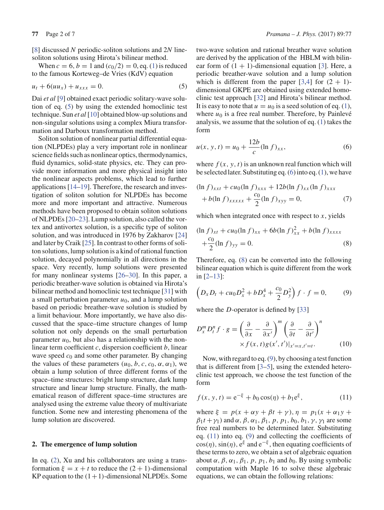[8] discussed *N* periodic-soliton solutions and 2*N* linesoliton solutions using Hirota's bilinear method.

When  $c = 6$ ,  $b = 1$  and  $(c_0/2) = 0$ , eq. (1) is reduced to the famous Korteweg–de Vries (KdV) equation

$$
u_t + 6(uu_x) + u_{xxx} = 0.
$$
 (5)

Dai *et al* [9] obtained exact periodic solitary-wave solution of eq. (5) by using the extended homoclinic test technique. Sun *et al* [10] obtained blow-up solutions and non-singular solutions using a complex Miura transformation and Darboux transformation method.

Soliton solution of nonlinear partial differential equation (NLPDEs) play a very important role in nonlinear science fields such as nonlinear optics, thermodynamics, fluid dynamics, solid-state physics, etc. They can provide more information and more physical insight into the nonlinear aspects problems, which lead to further applications [14–19]. Therefore, the research and investigation of soliton solution for NLPDEs has become more and more important and attractive. Numerous methods have been proposed to obtain soliton solutions of NLPDEs [20–23]. Lump solution, also called the vortex and antivortex solution, is a specific type of soliton solution, and was introduced in 1976 by Zakharov [24] and later by Craik [25]. In contrast to other forms of soliton solutions, lump solution is a kind of rational function solution, decayed polynomially in all directions in the space. Very recently, lump solutions were presented for many nonlinear systems [26–30]. In this paper, a periodic breather-wave solution is obtained via Hirota's bilinear method and homoclinic test technique [31] with a small perturbation parameter  $u_0$ , and a lump solution based on periodic breather-wave solution is studied by a limit behaviour. More importantly, we have also discussed that the space–time structure changes of lump solution not only depends on the small perturbation parameter  $u_0$ , but also has a relationship with the nonlinear term coefficient *c*, dispersion coefficient *b*, linear wave speed  $c_0$  and some other parameter. By changing the values of these parameters  $(u_0, b, c, c_0, \alpha, \alpha_1)$ , we obtain a lump solution of three different forms of the space–time structures: bright lump structure, dark lump structure and linear lump structure. Finally, the mathematical reason of different space–time structures are analysed using the extreme value theory of multivariate function. Some new and interesting phenomena of the lump solution are discovered.

#### **2. The emergence of lump solution**

In eq. (2), Xu and his collaborators are using a transformation  $\xi = x + t$  to reduce the  $(2 + 1)$ -dimensional KP equation to the  $(1+1)$ -dimensional NLPDEs. Some two-wave solution and rational breather wave solution are derived by the application of the HBLM with bilinear form of  $(1 + 1)$ -dimensional equation [3]. Here, a periodic breather-wave solution and a lump solution which is different from the paper  $[3,4]$  for  $(2 + 1)$ dimensional GKPE are obtained using extended homoclinic test approach [32] and Hirota's bilinear method. It is easy to note that  $u = u_0$  is a seed solution of eq. (1), where  $u_0$  is a free real number. Therefore, by Painlevé analysis, we assume that the solution of eq. (1) takes the form

$$
u(x, y, t) = u_0 + \frac{12b}{c} (\ln f)_{xx},
$$
 (6)

where  $f(x, y, t)$  is an unknown real function which will be selected later. Substituting eq. (6) into eq. (1), we have

$$
(\ln f)_{xxt} + cu_0 (\ln f)_{xxx} + 12b (\ln f)_{xx} (\ln f)_{xxx}
$$
  
+ b(\ln f)\_{xxxxx} + \frac{c\_0}{2} (\ln f)\_{xyy} = 0, (7)

which when integrated once with respect to *x*, yields

$$
(\ln f)_{xt} + cu_0 (\ln f)_{xx} + 6b (\ln f)_{xx}^2 + b (\ln f)_{xxxx}
$$
  
 
$$
+ \frac{c_0}{2} (\ln f)_{yy} = 0.
$$
 (8)

Therefore, eq. (8) can be converted into the following bilinear equation which is quite different from the work in [2–13]:

$$
\left(D_x D_t + cu_0 D_x^2 + b D_x^4 + \frac{c_0}{2} D_y^2\right) f \cdot f = 0, \tag{9}
$$

where the *D*-operator is defined by [33]

$$
D_x^m D_t^n f \cdot g = \left(\frac{\partial}{\partial x} - \frac{\partial}{\partial x'}\right)^m \left(\frac{\partial}{\partial t} - \frac{\partial}{\partial t'}\right)^n
$$
  
 
$$
\times f(x, t)g(x', t')|_{x'=x, t'=t}.
$$
 (10)

Now, with regard to eq. (9), by choosing a test function that is different from [3–5], using the extended heteroclinic test approach, we choose the test function of the form

$$
f(x, y, t) = e^{-\xi} + b_0 \cos(\eta) + b_1 e^{\xi},
$$
 (11)

where  $\xi = p(x + \alpha y + \beta t + \gamma)$ ,  $\eta = p_1(x + \alpha_1 y + \gamma)$  $\beta_1 t + \gamma_1$ ) and  $\alpha$ ,  $\beta$ ,  $\alpha_1$ ,  $\beta_1$ ,  $p$ ,  $p_1$ ,  $b_0$ ,  $b_1$ ,  $\gamma$ ,  $\gamma_1$  are some free real numbers to be determined later. Substituting eq. (11) into eq. (9) and collecting the coefficients of  $\cos(\eta)$ ,  $\sin(\eta)$ ,  $e^{\xi}$  and  $e^{-\xi}$ , then equating coefficients of these terms to zero, we obtain a set of algebraic equation about  $\alpha$ ,  $\beta$ ,  $\alpha$ <sub>1</sub>,  $\beta$ <sub>1</sub>,  $p$ ,  $p$ <sub>1</sub>,  $b$ <sub>1</sub> and  $b$ <sub>0</sub>. By using symbolic computation with Maple 16 to solve these algebraic equations, we can obtain the following relations: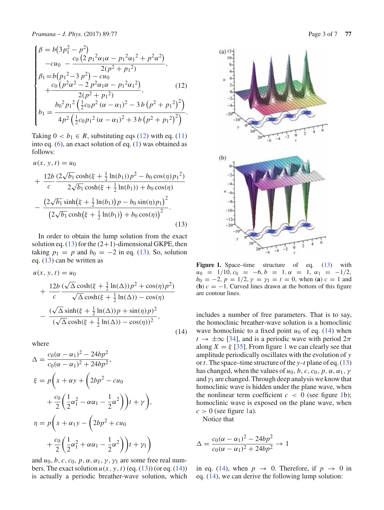$$
\begin{cases}\n\beta = b(3p_1^2 - p^2) \\
-cu_0 - \frac{c_0(2p_1^2\alpha_1\alpha - p_1^2\alpha_1^2 + p^2\alpha^2)}{2(p^2 + p_1^2)}, \\
\beta_1 = b(p_1^2 - 3p^2) - cu_0 \\
+c_0(p^2\alpha^2 - 2p^2\alpha_1\alpha - p_1^2\alpha_1^2) \\
+\frac{c_0(p^2\alpha^2 - 2p^2\alpha_1\alpha - p_1^2\alpha_1^2)}{2(p^2 + p_1^2)},\n\end{cases}
$$
\n(12)

$$
b_1 = \frac{b_0^2 p_1^2 \left(\frac{1}{2} c_0 p^2 (\alpha - \alpha_1)^2 - 3 b (p^2 + p_1^2)^2\right)}{4 p^2 \left(\frac{1}{2} c_0 p_1^2 (\alpha - \alpha_1)^2 + 3 b (p^2 + p_1^2)^2\right)}.
$$

Taking  $0 < b_1 \in R$ , substituting eqs (12) with eq. (11) into eq. (6), an exact solution of eq. (1) was obtained as follows:

$$
u(x, y, t) = u_0
$$
  
+ 
$$
\frac{12b}{c} \frac{(2\sqrt{b_1}\cosh(\xi + \frac{1}{2}\ln(b_1))p^2 - b_0\cos(\eta)p_1^2)}{2\sqrt{b_1}\cosh(\xi + \frac{1}{2}\ln(b_1)) + b_0\cos(\eta)}
$$
  
- 
$$
\frac{(2\sqrt{b_1}\sinh(\xi + \frac{1}{2}\ln(b_1))p - b_0\sin(\eta)p_1)^2}{(2\sqrt{b_1}\cosh(\xi + \frac{1}{2}\ln(b_1)) + b_0\cos(\eta))^2}.
$$
(13)

In order to obtain the lump solution from the exact solution eq. (13) for the  $(2+1)$ -dimensional GKPE, then taking  $p_1 = p$  and  $b_0 = -2$  in eq. (13). So, solution eq. (13) can be written as

$$
u(x, y, t) = u_0
$$
  
+ 
$$
\frac{12b}{c} \frac{(\sqrt{\Delta}\cosh(\xi + \frac{1}{2}\ln(\Delta))p^2 + \cos(\eta)p^2)}{\sqrt{\Delta}\cosh(\xi + \frac{1}{2}\ln(\Delta)) - \cos(\eta)}
$$
  
- 
$$
\frac{(\sqrt{\Delta}\sinh(\xi + \frac{1}{2}\ln(\Delta))p + \sin(\eta)p)^2}{(\sqrt{\Delta}\cosh(\xi + \frac{1}{2}\ln(\Delta)) - \cos(\eta))^2},
$$
(14)

where

$$
\Delta = \frac{c_0(\alpha - \alpha_1)^2 - 24bp^2}{c_0(\alpha - \alpha_1)^2 + 24bp^2},
$$
  
\n
$$
\xi = p\left(x + \alpha y + \left(2bp^2 - cu_0\right) + \frac{c_0}{2}\left(\frac{1}{2}\alpha_1^2 - \alpha\alpha_1 - \frac{1}{2}\alpha^2\right)\right)t + \gamma\right),
$$
  
\n
$$
\eta = p\left(x + \alpha_1 y - \left(2bp^2 + cu_0\right) + \frac{c_0}{2}\left(\frac{1}{2}\alpha_1^2 + \alpha\alpha_1 - \frac{1}{2}\alpha^2\right)\right)t + \gamma_1\right)
$$

and  $u_0$ , *b*, *c*, *c*<sub>0</sub>, *p*,  $\alpha$ ,  $\alpha_1$ ,  $\gamma$ ,  $\gamma_1$  are some free real numbers. The exact solution  $u(x, y, t)$  (eq. (13)) (or eq. (14)) is actually a periodic breather-wave solution, which



Figure 1. Space–time structure of eq. (13) with  $u_0 = 1/10$ ,  $c_0 = -6$ ,  $b = 1$ ,  $\alpha = 1$ ,  $\alpha_1 = -1/2$ ,  $b_0 = -2$ ,  $p = 1/2$ ,  $\gamma = \gamma_1 = t = 0$ , when (**a**)  $c = 1$  and (**b**)  $c = -1$ . Curved lines drawn at the bottom of this figure are contour lines.

includes a number of free parameters. That is to say, the homoclinic breather-wave solution is a homoclinic wave homoclinic to a fixed point  $u_0$  of eq. (14) when  $t \to \pm \infty$  [34], and is a periodic wave with period  $2\pi$ along  $X = \xi$  [35]. From figure 1 we can clearly see that amplitude periodically oscillates with the evolution of *y* or*t*. The space–time structure of the *y–t* plane of eq. (13) has changed, when the values of  $u_0$ , *b*, *c*, *c*<sub>0</sub>, *p*,  $\alpha$ ,  $\alpha_1$ ,  $\gamma$ and  $\gamma_1$  are changed. Through deep analysis we know that homoclinic wave is hidden under the plane wave, when the nonlinear term coefficient  $c < 0$  (see figure 1b); homoclinic wave is exposed on the plane wave, when  $c > 0$  (see figure 1a).

Notice that

$$
\Delta = \frac{c_0(\alpha - \alpha_1)^2 - 24bp^2}{c_0(\alpha - \alpha_1)^2 + 24bp^2} \to 1
$$

in eq. (14), when  $p \rightarrow 0$ . Therefore, if  $p \rightarrow 0$  in eq. (14), we can derive the following lump solution: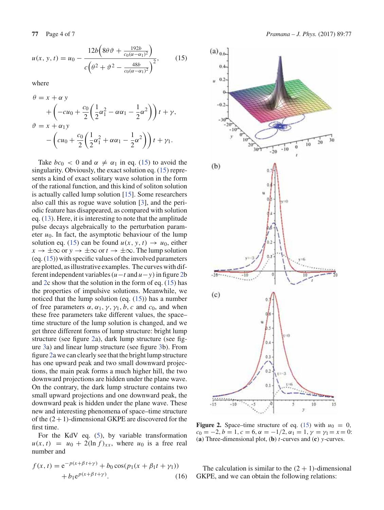$$
u(x, y, t) = u_0 - \frac{12b\left(8\theta \vartheta + \frac{192b}{c_0(\alpha - \alpha_1)^2}\right)}{c\left(\theta^2 + \vartheta^2 - \frac{48b}{c_0(\alpha - \alpha_1)^2}\right)^2},\tag{15}
$$

where

$$
\theta = x + \alpha y
$$
  
+ 
$$
\left(-cu_0 + \frac{c_0}{2} \left(\frac{1}{2} \alpha_1^2 - \alpha \alpha_1 - \frac{1}{2} \alpha^2\right)\right) t + \gamma,
$$
  

$$
\vartheta = x + \alpha_1 y
$$
  
- 
$$
\left(cu_0 + \frac{c_0}{2} \left(\frac{1}{2} \alpha_1^2 + \alpha \alpha_1 - \frac{1}{2} \alpha^2\right)\right) t + \gamma_1.
$$

Take  $bc_0 < 0$  and  $\alpha \neq \alpha_1$  in eq. (15) to avoid the singularity. Obviously, the exact solution eq. (15) represents a kind of exact solitary wave solution in the form of the rational function, and this kind of soliton solution is actually called lump solution [15]. Some researchers also call this as rogue wave solution [3], and the periodic feature has disappeared, as compared with solution eq. (13). Here, it is interesting to note that the amplitude pulse decays algebraically to the perturbation parameter  $u_0$ . In fact, the asymptotic behaviour of the lump solution eq. (15) can be found  $u(x, y, t) \rightarrow u_0$ , either  $x \to \pm \infty$  or  $y \to \pm \infty$  or  $t \to \pm \infty$ . The lump solution (eq. (15)) with specific values of the involved parameters are plotted, as illustrative examples. The curves with different independent variables  $(u - t \text{ and } u - v)$  in figure 2b and 2c show that the solution in the form of eq. (15) has the properties of impulsive solutions. Meanwhile, we noticed that the lump solution (eq. (15)) has a number of free parameters  $\alpha$ ,  $\alpha_1$ ,  $\gamma$ ,  $\gamma_1$ , *b*, *c* and *c*<sub>0</sub>, and when these free parameters take different values, the space– time structure of the lump solution is changed, and we get three different forms of lump structure: bright lump structure (see figure 2a), dark lump structure (see figure 3a) and linear lump structure (see figure 3b). From figure 2a we can clearly see that the bright lump structure has one upward peak and two small downward projections, the main peak forms a much higher hill, the two downward projections are hidden under the plane wave. On the contrary, the dark lump structure contains two small upward projections and one downward peak, the downward peak is hidden under the plane wave. These new and interesting phenomena of space–time structure of the  $(2+1)$ -dimensional GKPE are discovered for the first time.

For the KdV eq. (5), by variable transformation  $u(x, t) = u_0 + 2(\ln f)_{xx}$ , where  $u_0$  is a free real number and

$$
f(x,t) = e^{-p(x+\beta t + \gamma)} + b_0 \cos(p_1(x+\beta_1 t + \gamma_1)) + b_1 e^{p(x+\beta t + \gamma)}.
$$
 (16)



**Figure 2.** Space–time structure of eq. (15) with  $u_0 = 0$ ,  $c_0 = -2, b = 1, c = 6, \alpha = -1/2, \alpha_1 = 1, \gamma = \gamma_1 = x = 0$ : (**a**) Three-dimensional plot, (**b**) *t*-curves and (**c**) *y*-curves.

The calculation is similar to the  $(2 + 1)$ -dimensional GKPE, and we can obtain the following relations: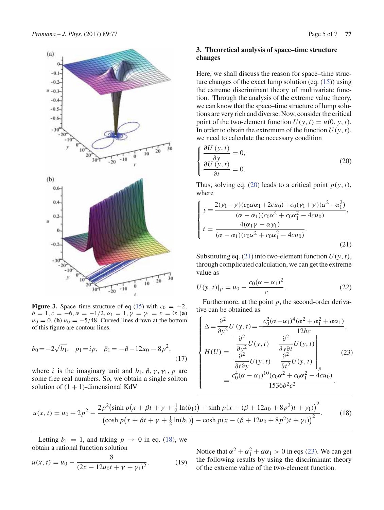

**Figure 3.** Space–time structure of eq (15) with  $c_0 = -2$ ,  $b = 1, c = -6, \alpha = -1/2, \alpha_1 = 1, \gamma = \gamma_1 = x = 0$ : (a)  $u_0 = 0$ , **(b)**  $u_0 = -5/48$ . Curved lines drawn at the bottom of this figure are contour lines.

$$
b_0 = -2\sqrt{b_1}, \quad p_1 = ip, \quad \beta_1 = -\beta - 12u_0 - 8p^2,\tag{17}
$$

where *i* is the imaginary unit and  $b_1$ ,  $\beta$ ,  $\gamma$ ,  $\gamma$ <sub>1</sub>,  $p$  are some free real numbers. So, we obtain a single soliton solution of  $(1 + 1)$ -dimensional KdV

# **3. Theoretical analysis of space–time structure changes**

Here, we shall discuss the reason for space–time structure changes of the exact lump solution (eq. (15)) using the extreme discriminant theory of multivariate function. Through the analysis of the extreme value theory, we can know that the space–time structure of lump solutions are very rich and diverse. Now, consider the critical point of the two-element function  $U(y, t) = u(0, y, t)$ . In order to obtain the extremum of the function  $U(y, t)$ , we need to calculate the necessary condition

$$
\begin{cases}\n\frac{\partial U\left(\mathbf{y},t\right)}{\partial \mathbf{y}} = 0, \\
\frac{\partial U\left(\mathbf{y},t\right)}{\partial t} = 0.\n\end{cases}
$$
\n(20)

Thus, solving eq. (20) leads to a critical point  $p(y, t)$ , where

$$
\begin{cases}\ny = \frac{2(\gamma_1 - \gamma)(c_0 \alpha \alpha_1 + 2cu_0) + c_0(\gamma_1 + \gamma)(\alpha^2 - \alpha_1^2)}{(\alpha - \alpha_1)(c_0 \alpha^2 + c_0 \alpha_1^2 - 4cu_0)}, \\
t = \frac{4(\alpha_1 \gamma - \alpha \gamma_1)}{(\alpha - \alpha_1)(c_0 \alpha^2 + c_0 \alpha_1^2 - 4cu_0)}.\n\end{cases}
$$
\n(21)

Substituting eq. (21) into two-element function  $U(y, t)$ , through complicated calculation, we can get the extreme value as

$$
U(y, t)|_p = u_0 - \frac{c_0(\alpha - \alpha_1)^2}{c}.
$$
 (22)

Furthermore, at the point *p*, the second-order derivative can be obtained as

$$
\begin{cases}\n\Delta = \frac{\partial^2}{\partial y^2} U(y, t) = \frac{c_0^2 (\alpha - \alpha_1)^4 (\alpha^2 + \alpha_1^2 + \alpha \alpha_1)}{12bc}, \\
H(U) = \begin{vmatrix}\n\frac{\partial^2}{\partial y^2} U(y, t) & \frac{\partial^2}{\partial y \partial t} U(y, t) \\
\frac{\partial^2}{\partial t \partial y} U(y, t) & \frac{\partial^2}{\partial t^2} U(y, t)\n\end{vmatrix} \n= \frac{c_0^4 (\alpha - \alpha_1)^{10} (c_0 \alpha^2 + c_0 \alpha_1^2 - 4cu_0)}{1536b^2c^2}.\n\end{cases} (23)
$$

$$
u(x,t) = u_0 + 2p^2 - \frac{2p^2(\sinh p(x + \beta t + \gamma + \frac{1}{2}\ln(b_1)) + \sinh p(x - (\beta + 12u_0 + 8p^2)t + \gamma_1))^2}{(\cosh p(x + \beta t + \gamma + \frac{1}{2}\ln(b_1)) - \cosh p(x - (\beta + 12u_0 + 8p^2)t + \gamma_1))^2}.
$$
 (18)

Letting  $b_1 = 1$ , and taking  $p \rightarrow 0$  in eq. (18), we obtain a rational function solution

$$
u(x,t) = u_0 - \frac{8}{(2x - 12u_0t + \gamma + \gamma_1)^2}.
$$
 (19)

Notice that  $\alpha^2 + \alpha_1^2 + \alpha \alpha_1 > 0$  in eqs (23). We can get the following results by using the discriminant theory of the extreme value of the two-element function.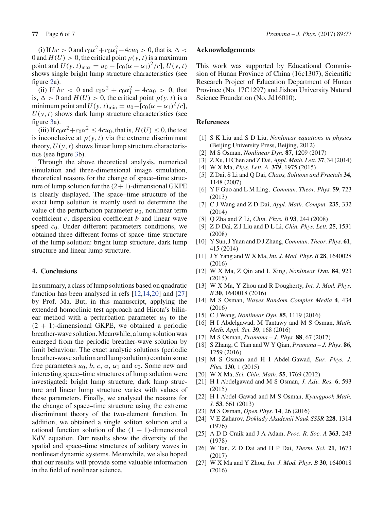(i) If  $bc > 0$  and  $c_0 \alpha^2 + c_0 \alpha_1^2 - 4cu_0 > 0$ , that is,  $\Delta <$ 0 and  $H(U) > 0$ , the critical point  $p(y, t)$  is a maximum point and  $U(y, t)_{\text{max}} = u_0 - [c_0(\alpha - \alpha_1)^2/c]$ ,  $U(y, t)$ shows single bright lump structure characteristics (see figure 2a).

(ii) If  $bc < 0$  and  $c_0\alpha^2 + c_0\alpha_1^2 - 4cu_0 > 0$ , that is,  $\Delta > 0$  and  $H(U) > 0$ , the critical point  $p(y, t)$  is a minimum point and  $U(y, t)_{\text{min}} = u_0 - [c_0(\alpha - \alpha_1)^2/c],$  $U(y, t)$  shows dark lump structure characteristics (see figure 3a).

(iii) If  $c_0\alpha^2 + c_0\alpha_1^2 \le 4cu_0$ , that is,  $H(U) \le 0$ , the test is inconclusive at  $p(y, t)$  via the extreme discriminant theory,  $U(y, t)$  shows linear lump structure characteristics (see figure 3b).

Through the above theoretical analysis, numerical simulation and three-dimensional image simulation, theoretical reasons for the change of space–time structure of lump solution for the  $(2+1)$ -dimensional GKPE is clearly displayed. The space–time structure of the exact lump solution is mainly used to determine the value of the perturbation parameter  $u_0$ , nonlinear term coefficient *c*, dispersion coefficient *b* and linear wave speed *c*0. Under different parameters conditions, we obtained three different forms of space–time structure of the lump solution: bright lump structure, dark lump structure and linear lump structure.

### **4. Conclusions**

In summary, a class of lump solutions based on quadratic function has been analysed in refs [12,14,20] and [27] by Prof. Ma. But, in this manuscript, applying the extended homoclinic test approach and Hirota's bilinear method with a perturbation parameter  $u_0$  to the  $(2 + 1)$ -dimensional GKPE, we obtained a periodic breather-wave solution. Meanwhile, a lump solution was emerged from the periodic breather-wave solution by limit behaviour. The exact analytic solutions (periodic breather-wave solution and lump solution) contain some free parameters  $u_0$ ,  $b$ ,  $c$ ,  $\alpha$ ,  $\alpha_1$  and  $c_0$ . Some new and interesting space–time structures of lump solution were investigated: bright lump structure, dark lump structure and linear lump structure varies with values of these parameters. Finally, we analysed the reasons for the change of space–time structure using the extreme discriminant theory of the two-element function. In addition, we obtained a single soliton solution and a rational function solution of the  $(1 + 1)$ -dimensional KdV equation. Our results show the diversity of the spatial and space–time structures of solitary waves in nonlinear dynamic systems. Meanwhile, we also hoped that our results will provide some valuable information in the field of nonlinear science.

## **Acknowledgements**

This work was supported by Educational Commission of Hunan Province of China (16c1307), Scientific Research Project of Education Department of Hunan Province (No. 17C1297) and Jishou University Natural Science Foundation (No. Jd16010).

## **References**

- [1] S K Liu and S D Liu, *Nonlinear equations in physics* (Beijing University Press, Beijing, 2012)
- [2] M S Osman, *Nonlinear Dyn.* **87**, 1209 (2017)
- [3] Z Xu, H Chen and Z Dai, *Appl. Math. Lett.* **37**, 34 (2014)
- [4] W X Ma, *Phys. Lett. A* **379**, 1975 (2015)
- [5] Z Dai, S Li and Q Dai, *Chaos, Solitons and Fractals* **34**, 1148 (2007)
- [6] Y F Guo and L M Ling, *Commun. Theor. Phys.* **59**, 723 (2013)
- [7] C J Wang and Z D Dai, *Appl. Math. Comput.* **235**, 332 (2014)
- [8] Q Zha and Z Li, *Chin. Phys. B* **93**, 244 (2008)
- [9] Z D Dai, Z J Liu and D L Li, *Chin. Phys. Lett.* **25**, 1531 (2008)
- [10] Y Sun, J Yuan and D J Zhang,*Commun. Theor. Phys.* **61**, 415 (2014)
- [11] J Y Yang and W X Ma, *Int. J. Mod. Phys. B* **28**, 1640028 (2016)
- [12] W X Ma, Z Qin and L Xing, *Nonlinear Dyn.* **84**, 923 (2015)
- [13] W X Ma, Y Zhou and R Dougherty, *Int. J. Mod. Phys. B* **30**, 1640018 (2016)
- [14] M S Osman, *Waves Random Complex Media* **4**, 434 (2016)
- [15] C J Wang, *Nonlinear Dyn.* **85**, 1119 (2016)
- [16] H I Abdelgawad, M Tantawy and M S Osman, *Math. Meth. Appl. Sci.* **39**, 168 (2016)
- [17] M S Osman, *Pramana J. Phys.* **88**, 67 (2017)
- [18] S Zhang, C Tian and W Y Qian, *Pramana J. Phys.* **86**, 1259 (2016)
- [19] M S Osman and H I Abdel-Gawad, *Eur. Phys. J. Plus.* **130**, 1 (2015)
- [20] W X Ma, *Sci. Chin. Math.* **55**, 1769 (2012)
- [21] H I Abdelgawad and M S Osman, *J. Adv. Res.* **6**, 593 (2015)
- [22] H I Abdel Gawad and M S Osman, *Kyungpook Math. J.* **53**, 661 (2013)
- [23] M S Osman, *Open Phys.* **14**, 26 (2016)
- [24] V E Zaharov, *Doklady Akademii Nauk SSSR* **228**, 1314 (1976)
- [25] A D D Craik and J A Adam, *Proc. R. Soc. A* **363**, 243 (1978)
- [26] W Tan, Z D Dai and H P Dai, *Therm. Sci.* **21**, 1673 (2017)
- [27] W X Ma and Y Zhou, *Int. J. Mod. Phys. B* **30**, 1640018 (2016)